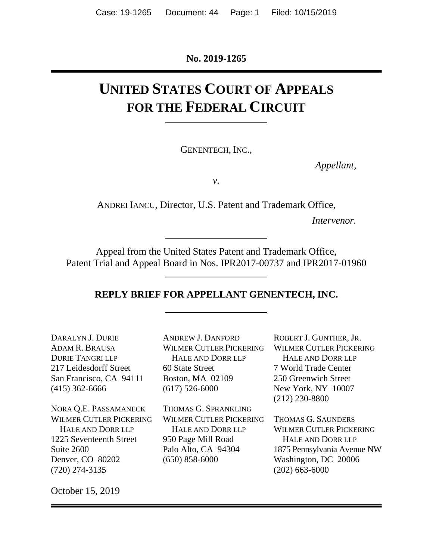**No. 2019-1265**

# **UNITED STATES COURT OF APPEALS FOR THE FEDERAL CIRCUIT**

GENENTECH, INC.,

*Appellant*,

*v.*

ANDREI IANCU, Director, U.S. Patent and Trademark Office,

*Intervenor.*

Appeal from the United States Patent and Trademark Office, Patent Trial and Appeal Board in Nos. IPR2017-00737 and IPR2017-01960

#### **REPLY BRIEF FOR APPELLANT GENENTECH, INC.**

| DARALYN J. DURIE        |
|-------------------------|
| ADAM R. BRAUSA          |
| <b>DURIE TANGRI LLP</b> |
| 217 Leidesdorff Street  |
| San Francisco, CA 94111 |
| $(415)$ 362-6666        |
|                         |

NORA Q.E. PASSAMANECK WILMER CUTLER PICKERING HALE AND DORR LLP 1225 Seventeenth Street Suite 2600 Denver, CO 80202 (720) 274-3135

ANDREW J. DANFORD WILMER CUTLER PICKERING HALE AND DORR LLP 60 State Street Boston, MA 02109 (617) 526-6000

THOMAS G. SPRANKLING WILMER CUTLER PICKERING HALE AND DORR LLP 950 Page Mill Road Palo Alto, CA 94304 (650) 858-6000

ROBERT J. GUNTHER, JR. WILMER CUTLER PICKERING HALE AND DORR LLP 7 World Trade Center 250 Greenwich Street New York, NY 10007 (212) 230-8800

THOMAS G. SAUNDERS WILMER CUTLER PICKERING HALE AND DORR LLP 1875 Pennsylvania Avenue NW Washington, DC 20006 (202) 663-6000

October 15, 2019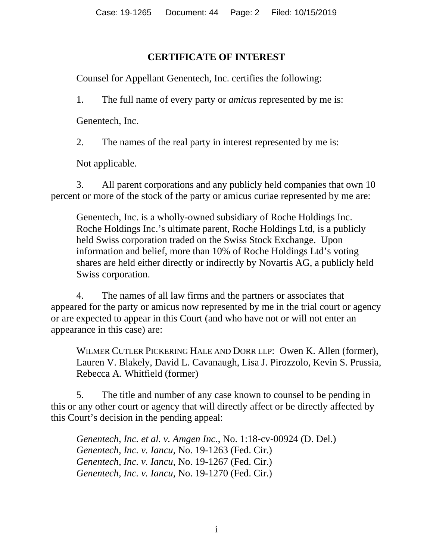### **CERTIFICATE OF INTEREST**

<span id="page-1-0"></span>Counsel for Appellant Genentech, Inc. certifies the following:

1. The full name of every party or *amicus* represented by me is:

Genentech, Inc.

2. The names of the real party in interest represented by me is:

Not applicable.

3. All parent corporations and any publicly held companies that own 10 percent or more of the stock of the party or amicus curiae represented by me are:

Genentech, Inc. is a wholly-owned subsidiary of Roche Holdings Inc. Roche Holdings Inc.'s ultimate parent, Roche Holdings Ltd, is a publicly held Swiss corporation traded on the Swiss Stock Exchange. Upon information and belief, more than 10% of Roche Holdings Ltd's voting shares are held either directly or indirectly by Novartis AG, a publicly held Swiss corporation.

4. The names of all law firms and the partners or associates that appeared for the party or amicus now represented by me in the trial court or agency or are expected to appear in this Court (and who have not or will not enter an appearance in this case) are:

WILMER CUTLER PICKERING HALE AND DORR LLP: Owen K. Allen (former), Lauren V. Blakely, David L. Cavanaugh, Lisa J. Pirozzolo, Kevin S. Prussia, Rebecca A. Whitfield (former)

5. The title and number of any case known to counsel to be pending in this or any other court or agency that will directly affect or be directly affected by this Court's decision in the pending appeal:

*Genentech, Inc. et al. v. Amgen Inc.*, No. 1:18-cv-00924 (D. Del.) *Genentech, Inc. v. Iancu*, No. 19-1263 (Fed. Cir.) *Genentech, Inc. v. Iancu*, No. 19-1267 (Fed. Cir.) *Genentech, Inc. v. Iancu*, No. 19-1270 (Fed. Cir.)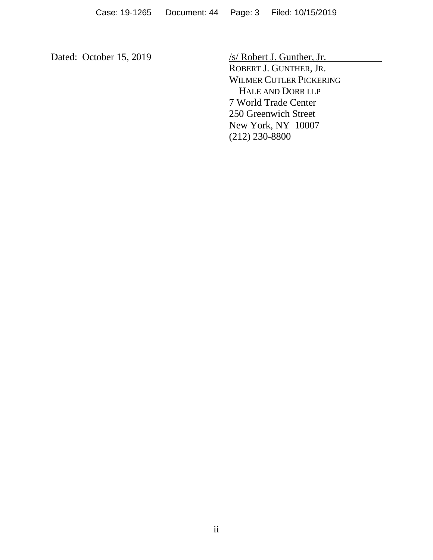Dated: October 15, 2019 /s/ Robert J. Gunther, Jr. ROBERT J. GUNTHER, JR. WILMER CUTLER PICKERING HALE AND DORR LLP 7 World Trade Center 250 Greenwich Street New York, NY 10007 (212) 230-8800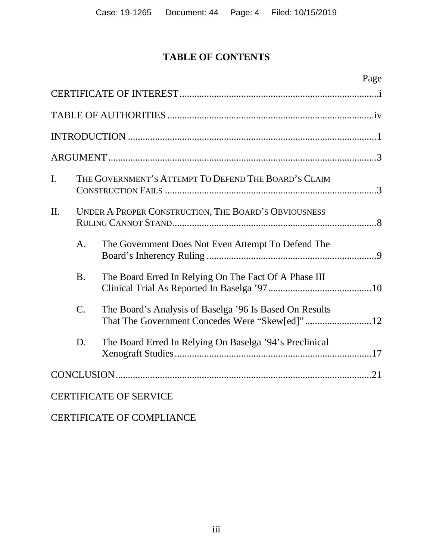## **TABLE OF CONTENTS**

|                |                 |                                                         | Page |
|----------------|-----------------|---------------------------------------------------------|------|
|                |                 |                                                         |      |
|                |                 |                                                         |      |
|                |                 |                                                         |      |
|                |                 |                                                         |      |
| $\mathbf{I}$ . |                 | THE GOVERNMENT'S ATTEMPT TO DEFEND THE BOARD'S CLAIM    |      |
| II.            |                 | UNDER A PROPER CONSTRUCTION, THE BOARD'S OBVIOUSNESS    |      |
|                | A.              | The Government Does Not Even Attempt To Defend The      |      |
|                | <b>B.</b>       | The Board Erred In Relying On The Fact Of A Phase III   |      |
|                | $\mathcal{C}$ . | The Board's Analysis of Baselga '96 Is Based On Results |      |
|                | D.              | The Board Erred In Relying On Baselga '94's Preclinical |      |
|                |                 |                                                         |      |
|                |                 | <b>CERTIFICATE OF SERVICE</b>                           |      |

### CERTIFICATE OF COMPLIANCE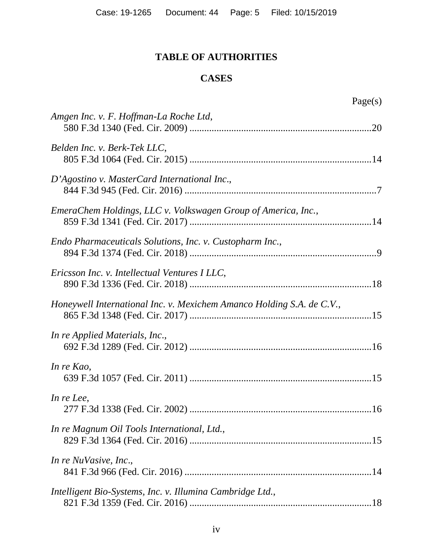### **TABLE OF AUTHORITIES**

### **CASES**

<span id="page-4-0"></span>

| Amgen Inc. v. F. Hoffman-La Roche Ltd,                                |
|-----------------------------------------------------------------------|
| Belden Inc. v. Berk-Tek LLC,                                          |
| D'Agostino v. MasterCard International Inc.,                          |
| EmeraChem Holdings, LLC v. Volkswagen Group of America, Inc.,         |
| Endo Pharmaceuticals Solutions, Inc. v. Custopharm Inc.,              |
| Ericsson Inc. v. Intellectual Ventures I LLC,                         |
| Honeywell International Inc. v. Mexichem Amanco Holding S.A. de C.V., |
| In re Applied Materials, Inc.,                                        |
| In re Kao,                                                            |
| In re Lee,                                                            |
| In re Magnum Oil Tools International, Ltd.,                           |
| In re NuVasive, Inc.,                                                 |
| Intelligent Bio-Systems, Inc. v. Illumina Cambridge Ltd.,             |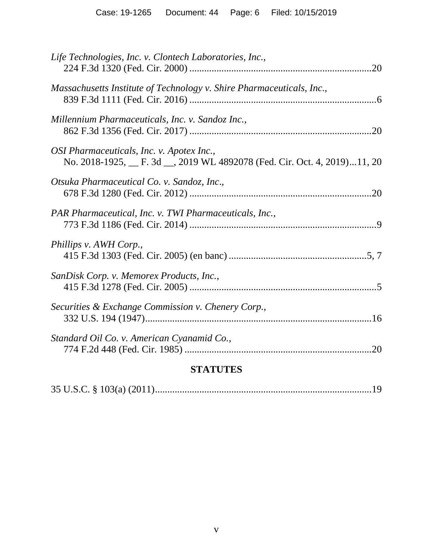| Life Technologies, Inc. v. Clontech Laboratories, Inc.,                                                            |
|--------------------------------------------------------------------------------------------------------------------|
| Massachusetts Institute of Technology v. Shire Pharmaceuticals, Inc.,                                              |
| Millennium Pharmaceuticals, Inc. v. Sandoz Inc.,                                                                   |
| OSI Pharmaceuticals, Inc. v. Apotex Inc.,<br>No. 2018-1925, F. 3d Sample WL 4892078 (Fed. Cir. Oct. 4, 2019)11, 20 |
| Otsuka Pharmaceutical Co. v. Sandoz, Inc.,                                                                         |
| PAR Pharmaceutical, Inc. v. TWI Pharmaceuticals, Inc.,                                                             |
| Phillips v. AWH Corp.,                                                                                             |
| SanDisk Corp. v. Memorex Products, Inc.,                                                                           |
| Securities & Exchange Commission v. Chenery Corp.,                                                                 |
| Standard Oil Co. v. American Cyanamid Co.,                                                                         |
|                                                                                                                    |

# **STATUTES**

|--|--|--|--|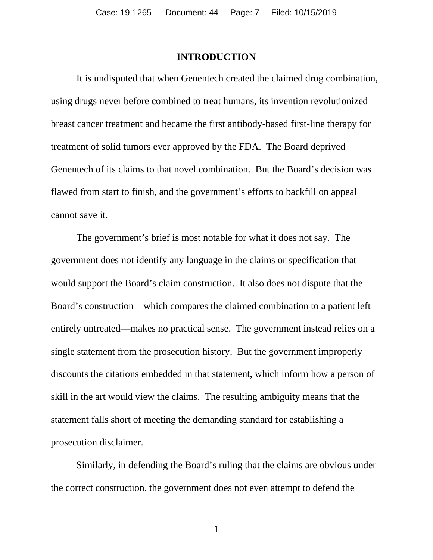#### **INTRODUCTION**

<span id="page-6-0"></span>It is undisputed that when Genentech created the claimed drug combination, using drugs never before combined to treat humans, its invention revolutionized breast cancer treatment and became the first antibody-based first-line therapy for treatment of solid tumors ever approved by the FDA. The Board deprived Genentech of its claims to that novel combination. But the Board's decision was flawed from start to finish, and the government's efforts to backfill on appeal cannot save it.

The government's brief is most notable for what it does not say. The government does not identify any language in the claims or specification that would support the Board's claim construction. It also does not dispute that the Board's construction—which compares the claimed combination to a patient left entirely untreated—makes no practical sense. The government instead relies on a single statement from the prosecution history. But the government improperly discounts the citations embedded in that statement, which inform how a person of skill in the art would view the claims. The resulting ambiguity means that the statement falls short of meeting the demanding standard for establishing a prosecution disclaimer.

Similarly, in defending the Board's ruling that the claims are obvious under the correct construction, the government does not even attempt to defend the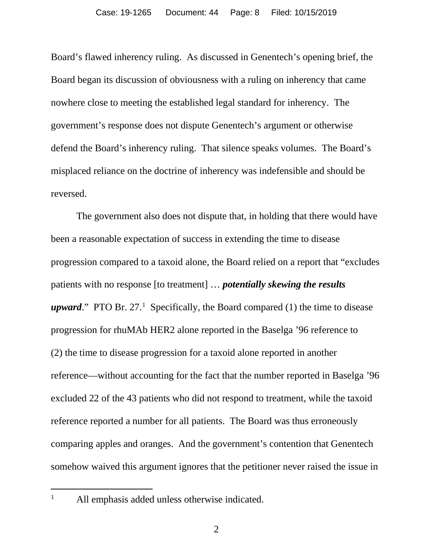Board's flawed inherency ruling. As discussed in Genentech's opening brief, the Board began its discussion of obviousness with a ruling on inherency that came nowhere close to meeting the established legal standard for inherency. The government's response does not dispute Genentech's argument or otherwise defend the Board's inherency ruling. That silence speaks volumes. The Board's misplaced reliance on the doctrine of inherency was indefensible and should be reversed.

The government also does not dispute that, in holding that there would have been a reasonable expectation of success in extending the time to disease progression compared to a taxoid alone, the Board relied on a report that "excludes patients with no response [to treatment] … *potentially skewing the results upward*." PTO Br. 27.<sup>[1](#page-7-0)</sup> Specifically, the Board compared (1) the time to disease progression for rhuMAb HER2 alone reported in the Baselga '96 reference to (2) the time to disease progression for a taxoid alone reported in another reference—without accounting for the fact that the number reported in Baselga '96 excluded 22 of the 43 patients who did not respond to treatment, while the taxoid reference reported a number for all patients. The Board was thus erroneously comparing apples and oranges. And the government's contention that Genentech somehow waived this argument ignores that the petitioner never raised the issue in

<span id="page-7-0"></span>

<sup>&</sup>lt;sup>1</sup> All emphasis added unless otherwise indicated.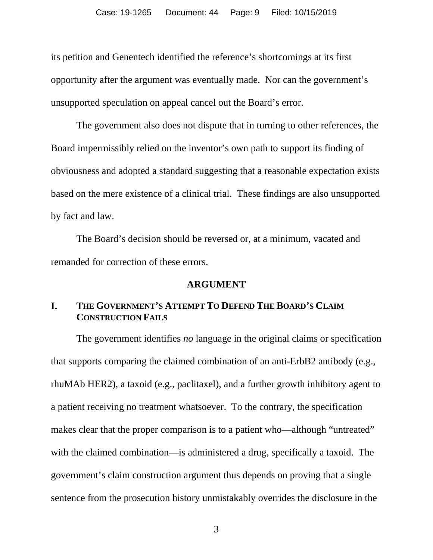its petition and Genentech identified the reference's shortcomings at its first opportunity after the argument was eventually made. Nor can the government's unsupported speculation on appeal cancel out the Board's error.

The government also does not dispute that in turning to other references, the Board impermissibly relied on the inventor's own path to support its finding of obviousness and adopted a standard suggesting that a reasonable expectation exists based on the mere existence of a clinical trial. These findings are also unsupported by fact and law.

The Board's decision should be reversed or, at a minimum, vacated and remanded for correction of these errors.

#### **ARGUMENT**

#### <span id="page-8-1"></span><span id="page-8-0"></span>**I. THE GOVERNMENT'S ATTEMPT TO DEFEND THE BOARD'S CLAIM CONSTRUCTION FAILS**

The government identifies *no* language in the original claims or specification that supports comparing the claimed combination of an anti-ErbB2 antibody (e.g., rhuMAb HER2), a taxoid (e.g., paclitaxel), and a further growth inhibitory agent to a patient receiving no treatment whatsoever. To the contrary, the specification makes clear that the proper comparison is to a patient who—although "untreated" with the claimed combination—is administered a drug, specifically a taxoid. The government's claim construction argument thus depends on proving that a single sentence from the prosecution history unmistakably overrides the disclosure in the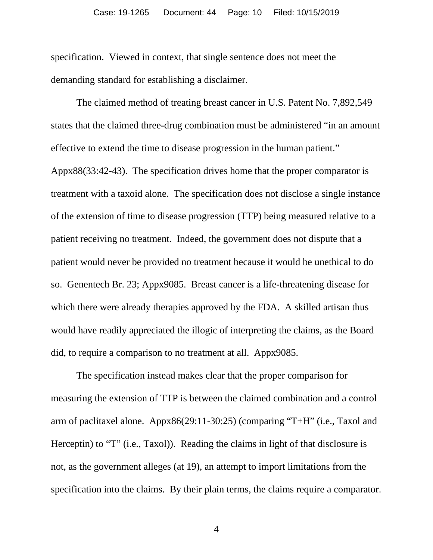specification. Viewed in context, that single sentence does not meet the demanding standard for establishing a disclaimer.

The claimed method of treating breast cancer in U.S. Patent No. 7,892,549 states that the claimed three-drug combination must be administered "in an amount effective to extend the time to disease progression in the human patient." Appx88(33:42-43). The specification drives home that the proper comparator is treatment with a taxoid alone. The specification does not disclose a single instance of the extension of time to disease progression (TTP) being measured relative to a patient receiving no treatment. Indeed, the government does not dispute that a patient would never be provided no treatment because it would be unethical to do so. Genentech Br. 23; Appx9085. Breast cancer is a life-threatening disease for which there were already therapies approved by the FDA. A skilled artisan thus would have readily appreciated the illogic of interpreting the claims, as the Board did, to require a comparison to no treatment at all. Appx9085.

The specification instead makes clear that the proper comparison for measuring the extension of TTP is between the claimed combination and a control arm of paclitaxel alone. Appx86(29:11-30:25) (comparing "T+H" (i.e., Taxol and Herceptin) to "T" (i.e., Taxol)). Reading the claims in light of that disclosure is not, as the government alleges (at 19), an attempt to import limitations from the specification into the claims. By their plain terms, the claims require a comparator.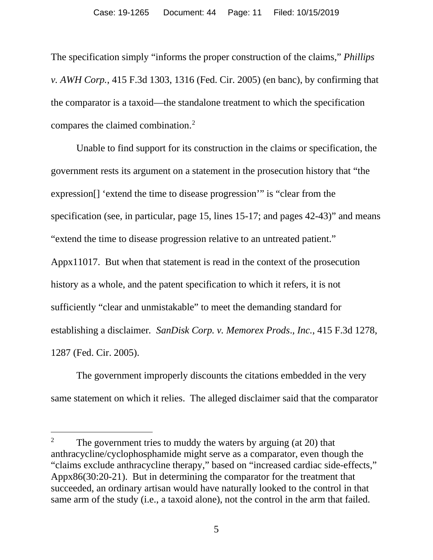The specification simply "informs the proper construction of the claims," *Phillips v. AWH Corp.*, 415 F.3d 1303, 1316 (Fed. Cir. 2005) (en banc), by confirming that the comparator is a taxoid—the standalone treatment to which the specification compares the claimed combination.[2](#page-10-0)

Unable to find support for its construction in the claims or specification, the government rests its argument on a statement in the prosecution history that "the expression[] 'extend the time to disease progression'" is "clear from the specification (see, in particular, page 15, lines 15-17; and pages 42-43)" and means "extend the time to disease progression relative to an untreated patient." Appx11017. But when that statement is read in the context of the prosecution history as a whole, and the patent specification to which it refers, it is not sufficiently "clear and unmistakable" to meet the demanding standard for establishing a disclaimer*. SanDisk Corp. v. Memorex Prods*.*, Inc.*, 415 F.3d 1278, 1287 (Fed. Cir. 2005).

The government improperly discounts the citations embedded in the very same statement on which it relies. The alleged disclaimer said that the comparator

<span id="page-10-0"></span><sup>&</sup>lt;sup>2</sup> The government tries to muddy the waters by arguing (at  $20$ ) that anthracycline/cyclophosphamide might serve as a comparator, even though the "claims exclude anthracycline therapy," based on "increased cardiac side-effects," Appx86(30:20-21). But in determining the comparator for the treatment that succeeded, an ordinary artisan would have naturally looked to the control in that same arm of the study (i.e., a taxoid alone), not the control in the arm that failed.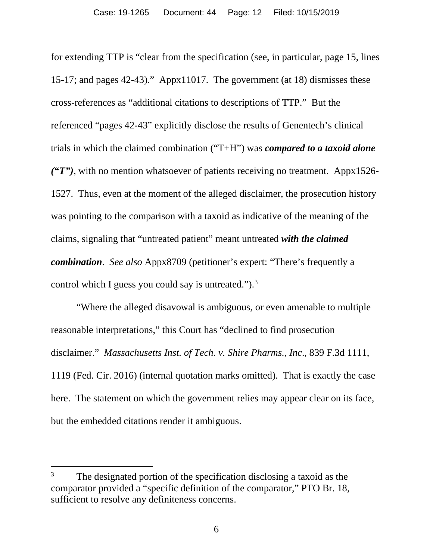for extending TTP is "clear from the specification (see, in particular, page 15, lines 15-17; and pages 42-43)." Appx11017. The government (at 18) dismisses these cross-references as "additional citations to descriptions of TTP." But the referenced "pages 42-43" explicitly disclose the results of Genentech's clinical trials in which the claimed combination ("T+H") was *compared to a taxoid alone ("T")*, with no mention whatsoever of patients receiving no treatment. Appx1526- 1527. Thus, even at the moment of the alleged disclaimer, the prosecution history was pointing to the comparison with a taxoid as indicative of the meaning of the claims, signaling that "untreated patient" meant untreated *with the claimed combination*. *See also* Appx8709 (petitioner's expert: "There's frequently a control which I guess you could say is untreated." $)$ .<sup>[3](#page-11-0)</sup>

"Where the alleged disavowal is ambiguous, or even amenable to multiple reasonable interpretations," this Court has "declined to find prosecution disclaimer." *Massachusetts Inst. of Tech. v. Shire Pharms., Inc*., 839 F.3d 1111, 1119 (Fed. Cir. 2016) (internal quotation marks omitted). That is exactly the case here. The statement on which the government relies may appear clear on its face, but the embedded citations render it ambiguous.

<span id="page-11-0"></span><sup>&</sup>lt;sup>3</sup> The designated portion of the specification disclosing a taxoid as the comparator provided a "specific definition of the comparator," PTO Br. 18, sufficient to resolve any definiteness concerns.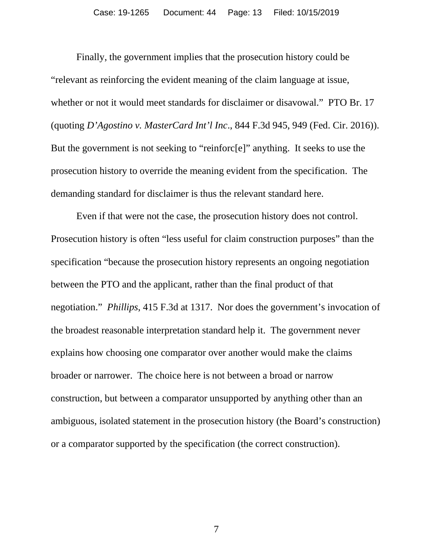Finally, the government implies that the prosecution history could be "relevant as reinforcing the evident meaning of the claim language at issue, whether or not it would meet standards for disclaimer or disavowal." PTO Br. 17 (quoting *D'Agostino v. MasterCard Int'l Inc*., 844 F.3d 945, 949 (Fed. Cir. 2016)). But the government is not seeking to "reinforc[e]" anything. It seeks to use the prosecution history to override the meaning evident from the specification. The demanding standard for disclaimer is thus the relevant standard here.

Even if that were not the case, the prosecution history does not control. Prosecution history is often "less useful for claim construction purposes" than the specification "because the prosecution history represents an ongoing negotiation between the PTO and the applicant, rather than the final product of that negotiation." *Phillips*, 415 F.3d at 1317. Nor does the government's invocation of the broadest reasonable interpretation standard help it. The government never explains how choosing one comparator over another would make the claims broader or narrower. The choice here is not between a broad or narrow construction, but between a comparator unsupported by anything other than an ambiguous, isolated statement in the prosecution history (the Board's construction) or a comparator supported by the specification (the correct construction).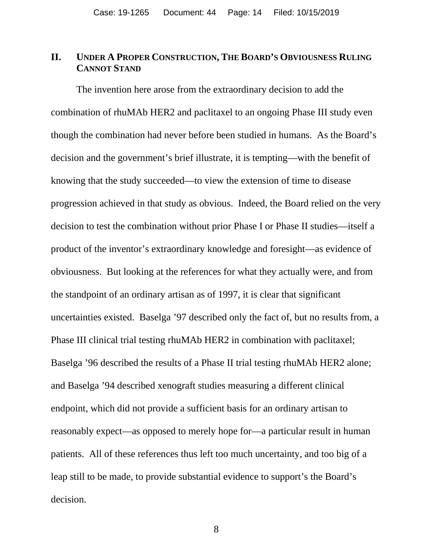#### <span id="page-13-0"></span>**II. UNDER A PROPER CONSTRUCTION, THE BOARD'S OBVIOUSNESS RULING CANNOT STAND**

The invention here arose from the extraordinary decision to add the combination of rhuMAb HER2 and paclitaxel to an ongoing Phase III study even though the combination had never before been studied in humans. As the Board's decision and the government's brief illustrate, it is tempting—with the benefit of knowing that the study succeeded—to view the extension of time to disease progression achieved in that study as obvious. Indeed, the Board relied on the very decision to test the combination without prior Phase I or Phase II studies—itself a product of the inventor's extraordinary knowledge and foresight—as evidence of obviousness. But looking at the references for what they actually were, and from the standpoint of an ordinary artisan as of 1997, it is clear that significant uncertainties existed. Baselga '97 described only the fact of, but no results from, a Phase III clinical trial testing rhuMAb HER2 in combination with paclitaxel; Baselga '96 described the results of a Phase II trial testing rhuMAb HER2 alone; and Baselga '94 described xenograft studies measuring a different clinical endpoint, which did not provide a sufficient basis for an ordinary artisan to reasonably expect—as opposed to merely hope for—a particular result in human patients. All of these references thus left too much uncertainty, and too big of a leap still to be made, to provide substantial evidence to support's the Board's decision.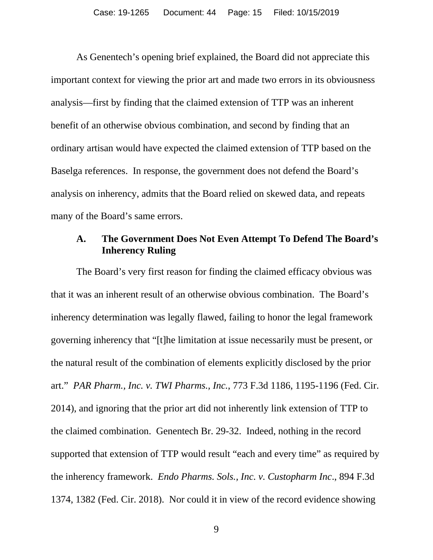As Genentech's opening brief explained, the Board did not appreciate this important context for viewing the prior art and made two errors in its obviousness analysis—first by finding that the claimed extension of TTP was an inherent benefit of an otherwise obvious combination, and second by finding that an ordinary artisan would have expected the claimed extension of TTP based on the Baselga references. In response, the government does not defend the Board's analysis on inherency, admits that the Board relied on skewed data, and repeats many of the Board's same errors.

#### <span id="page-14-0"></span>**A. The Government Does Not Even Attempt To Defend The Board's Inherency Ruling**

The Board's very first reason for finding the claimed efficacy obvious was that it was an inherent result of an otherwise obvious combination. The Board's inherency determination was legally flawed, failing to honor the legal framework governing inherency that "[t]he limitation at issue necessarily must be present, or the natural result of the combination of elements explicitly disclosed by the prior art." *PAR Pharm., Inc. v. TWI Pharms., Inc.*, 773 F.3d 1186, 1195-1196 (Fed. Cir. 2014), and ignoring that the prior art did not inherently link extension of TTP to the claimed combination. Genentech Br. 29-32. Indeed, nothing in the record supported that extension of TTP would result "each and every time" as required by the inherency framework. *Endo Pharms. Sols., Inc. v. Custopharm Inc*., 894 F.3d 1374, 1382 (Fed. Cir. 2018). Nor could it in view of the record evidence showing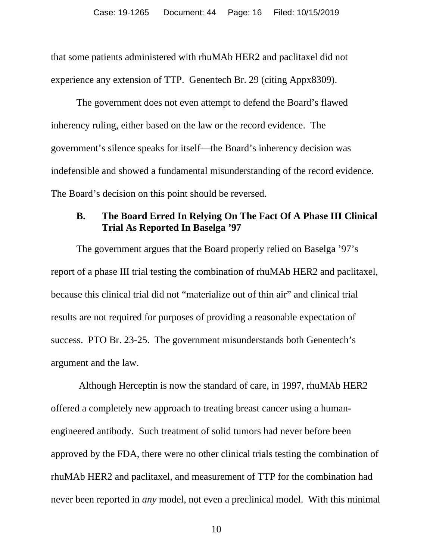that some patients administered with rhuMAb HER2 and paclitaxel did not experience any extension of TTP. Genentech Br. 29 (citing Appx8309).

The government does not even attempt to defend the Board's flawed inherency ruling, either based on the law or the record evidence. The government's silence speaks for itself—the Board's inherency decision was indefensible and showed a fundamental misunderstanding of the record evidence. The Board's decision on this point should be reversed.

#### <span id="page-15-0"></span>**B. The Board Erred In Relying On The Fact Of A Phase III Clinical Trial As Reported In Baselga '97**

The government argues that the Board properly relied on Baselga '97's report of a phase III trial testing the combination of rhuMAb HER2 and paclitaxel, because this clinical trial did not "materialize out of thin air" and clinical trial results are not required for purposes of providing a reasonable expectation of success. PTO Br. 23-25. The government misunderstands both Genentech's argument and the law.

Although Herceptin is now the standard of care, in 1997, rhuMAb HER2 offered a completely new approach to treating breast cancer using a humanengineered antibody. Such treatment of solid tumors had never before been approved by the FDA, there were no other clinical trials testing the combination of rhuMAb HER2 and paclitaxel, and measurement of TTP for the combination had never been reported in *any* model, not even a preclinical model. With this minimal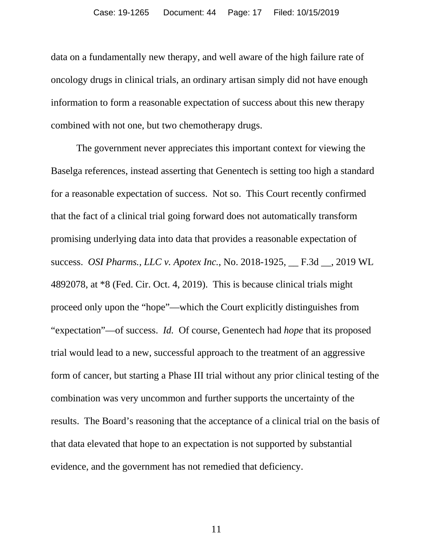data on a fundamentally new therapy, and well aware of the high failure rate of oncology drugs in clinical trials, an ordinary artisan simply did not have enough information to form a reasonable expectation of success about this new therapy combined with not one, but two chemotherapy drugs.

The government never appreciates this important context for viewing the Baselga references, instead asserting that Genentech is setting too high a standard for a reasonable expectation of success. Not so. This Court recently confirmed that the fact of a clinical trial going forward does not automatically transform promising underlying data into data that provides a reasonable expectation of success. *OSI Pharms., LLC v. Apotex Inc.*, No. 2018-1925, \_\_ F.3d \_\_, 2019 WL 4892078, at \*8 (Fed. Cir. Oct. 4, 2019). This is because clinical trials might proceed only upon the "hope"—which the Court explicitly distinguishes from "expectation"—of success. *Id.* Of course, Genentech had *hope* that its proposed trial would lead to a new, successful approach to the treatment of an aggressive form of cancer, but starting a Phase III trial without any prior clinical testing of the combination was very uncommon and further supports the uncertainty of the results. The Board's reasoning that the acceptance of a clinical trial on the basis of that data elevated that hope to an expectation is not supported by substantial evidence, and the government has not remedied that deficiency.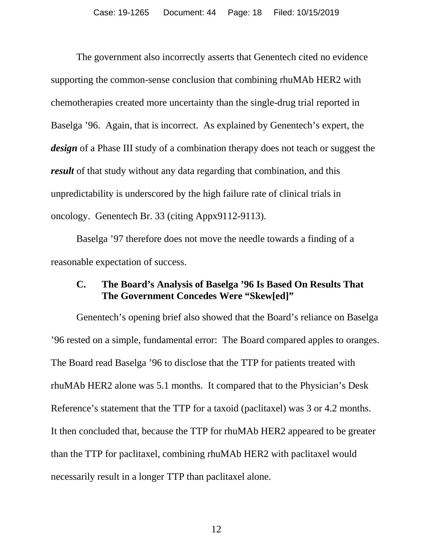The government also incorrectly asserts that Genentech cited no evidence supporting the common-sense conclusion that combining rhuMAb HER2 with chemotherapies created more uncertainty than the single-drug trial reported in Baselga '96. Again, that is incorrect. As explained by Genentech's expert, the *design* of a Phase III study of a combination therapy does not teach or suggest the *result* of that study without any data regarding that combination, and this unpredictability is underscored by the high failure rate of clinical trials in oncology. Genentech Br. 33 (citing Appx9112-9113).

Baselga '97 therefore does not move the needle towards a finding of a reasonable expectation of success.

#### <span id="page-17-0"></span>**C. The Board's Analysis of Baselga '96 Is Based On Results That The Government Concedes Were "Skew[ed]"**

Genentech's opening brief also showed that the Board's reliance on Baselga '96 rested on a simple, fundamental error: The Board compared apples to oranges. The Board read Baselga '96 to disclose that the TTP for patients treated with rhuMAb HER2 alone was 5.1 months. It compared that to the Physician's Desk Reference's statement that the TTP for a taxoid (paclitaxel) was 3 or 4.2 months. It then concluded that, because the TTP for rhuMAb HER2 appeared to be greater than the TTP for paclitaxel, combining rhuMAb HER2 with paclitaxel would necessarily result in a longer TTP than paclitaxel alone.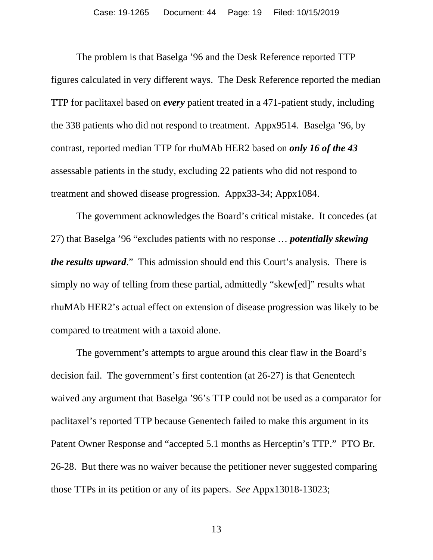The problem is that Baselga '96 and the Desk Reference reported TTP figures calculated in very different ways. The Desk Reference reported the median TTP for paclitaxel based on *every* patient treated in a 471-patient study, including the 338 patients who did not respond to treatment. Appx9514. Baselga '96, by contrast, reported median TTP for rhuMAb HER2 based on *only 16 of the 43* assessable patients in the study, excluding 22 patients who did not respond to treatment and showed disease progression. Appx33-34; Appx1084.

The government acknowledges the Board's critical mistake. It concedes (at 27) that Baselga '96 "excludes patients with no response … *potentially skewing the results upward.*" This admission should end this Court's analysis. There is simply no way of telling from these partial, admittedly "skew[ed]" results what rhuMAb HER2's actual effect on extension of disease progression was likely to be compared to treatment with a taxoid alone.

The government's attempts to argue around this clear flaw in the Board's decision fail. The government's first contention (at 26-27) is that Genentech waived any argument that Baselga '96's TTP could not be used as a comparator for paclitaxel's reported TTP because Genentech failed to make this argument in its Patent Owner Response and "accepted 5.1 months as Herceptin's TTP." PTO Br. 26-28. But there was no waiver because the petitioner never suggested comparing those TTPs in its petition or any of its papers. *See* Appx13018-13023;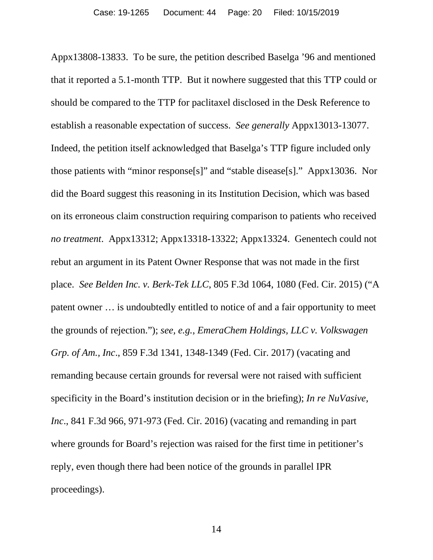Appx13808-13833. To be sure, the petition described Baselga '96 and mentioned that it reported a 5.1-month TTP. But it nowhere suggested that this TTP could or should be compared to the TTP for paclitaxel disclosed in the Desk Reference to establish a reasonable expectation of success. *See generally* Appx13013-13077. Indeed, the petition itself acknowledged that Baselga's TTP figure included only those patients with "minor response[s]" and "stable disease[s]." Appx13036. Nor did the Board suggest this reasoning in its Institution Decision, which was based on its erroneous claim construction requiring comparison to patients who received *no treatment*. Appx13312; Appx13318-13322; Appx13324. Genentech could not rebut an argument in its Patent Owner Response that was not made in the first place. *See Belden Inc. v. Berk-Tek LLC*, 805 F.3d 1064, 1080 (Fed. Cir. 2015) ("A patent owner … is undoubtedly entitled to notice of and a fair opportunity to meet the grounds of rejection."); *see, e.g.*, *EmeraChem Holdings, LLC v. Volkswagen Grp. of Am., Inc*., 859 F.3d 1341, 1348-1349 (Fed. Cir. 2017) (vacating and remanding because certain grounds for reversal were not raised with sufficient specificity in the Board's institution decision or in the briefing); *In re NuVasive, Inc*., 841 F.3d 966, 971-973 (Fed. Cir. 2016) (vacating and remanding in part where grounds for Board's rejection was raised for the first time in petitioner's reply, even though there had been notice of the grounds in parallel IPR proceedings).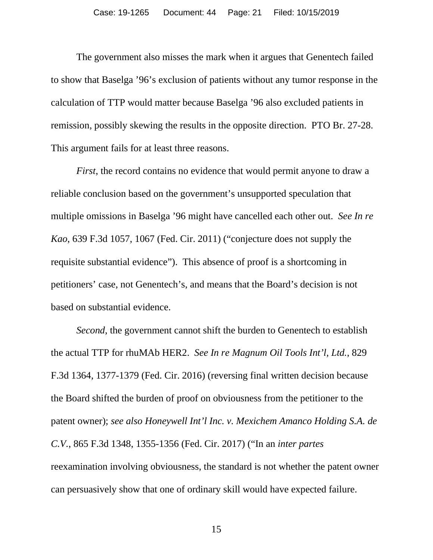The government also misses the mark when it argues that Genentech failed to show that Baselga '96's exclusion of patients without any tumor response in the calculation of TTP would matter because Baselga '96 also excluded patients in remission, possibly skewing the results in the opposite direction. PTO Br. 27-28. This argument fails for at least three reasons.

*First*, the record contains no evidence that would permit anyone to draw a reliable conclusion based on the government's unsupported speculation that multiple omissions in Baselga '96 might have cancelled each other out. *See In re Kao*, 639 F.3d 1057, 1067 (Fed. Cir. 2011) ("conjecture does not supply the requisite substantial evidence"). This absence of proof is a shortcoming in petitioners' case, not Genentech's, and means that the Board's decision is not based on substantial evidence.

*Second*, the government cannot shift the burden to Genentech to establish the actual TTP for rhuMAb HER2. *See In re Magnum Oil Tools Int'l, Ltd.*, 829 F.3d 1364, 1377-1379 (Fed. Cir. 2016) (reversing final written decision because the Board shifted the burden of proof on obviousness from the petitioner to the patent owner); *see also Honeywell Int'l Inc. v. Mexichem Amanco Holding S.A. de C.V.*, 865 F.3d 1348, 1355-1356 (Fed. Cir. 2017) ("In an *inter partes* reexamination involving obviousness, the standard is not whether the patent owner can persuasively show that one of ordinary skill would have expected failure.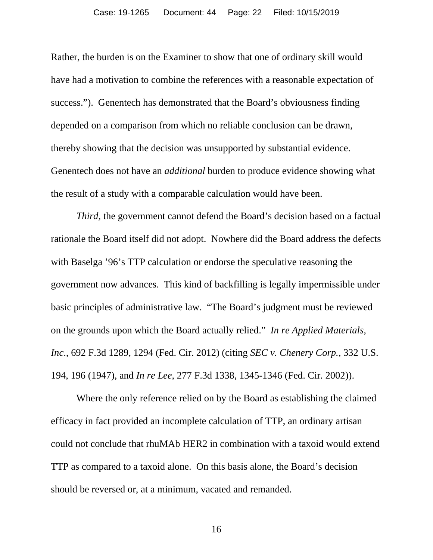Rather, the burden is on the Examiner to show that one of ordinary skill would have had a motivation to combine the references with a reasonable expectation of success."). Genentech has demonstrated that the Board's obviousness finding depended on a comparison from which no reliable conclusion can be drawn, thereby showing that the decision was unsupported by substantial evidence. Genentech does not have an *additional* burden to produce evidence showing what the result of a study with a comparable calculation would have been.

*Third*, the government cannot defend the Board's decision based on a factual rationale the Board itself did not adopt. Nowhere did the Board address the defects with Baselga '96's TTP calculation or endorse the speculative reasoning the government now advances. This kind of backfilling is legally impermissible under basic principles of administrative law. "The Board's judgment must be reviewed on the grounds upon which the Board actually relied." *In re Applied Materials, Inc*., 692 F.3d 1289, 1294 (Fed. Cir. 2012) (citing *SEC v. Chenery Corp.*, 332 U.S. 194, 196 (1947), and *In re Lee*, 277 F.3d 1338, 1345-1346 (Fed. Cir. 2002)).

Where the only reference relied on by the Board as establishing the claimed efficacy in fact provided an incomplete calculation of TTP, an ordinary artisan could not conclude that rhuMAb HER2 in combination with a taxoid would extend TTP as compared to a taxoid alone. On this basis alone, the Board's decision should be reversed or, at a minimum, vacated and remanded.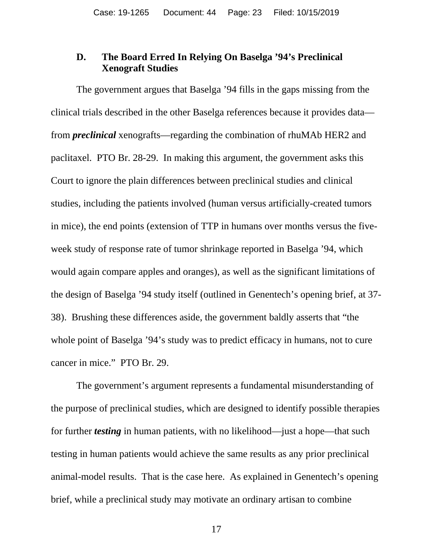#### <span id="page-22-0"></span>**D. The Board Erred In Relying On Baselga '94's Preclinical Xenograft Studies**

The government argues that Baselga '94 fills in the gaps missing from the clinical trials described in the other Baselga references because it provides data from *preclinical* xenografts—regarding the combination of rhuMAb HER2 and paclitaxel. PTO Br. 28-29. In making this argument, the government asks this Court to ignore the plain differences between preclinical studies and clinical studies, including the patients involved (human versus artificially-created tumors in mice), the end points (extension of TTP in humans over months versus the fiveweek study of response rate of tumor shrinkage reported in Baselga '94, which would again compare apples and oranges), as well as the significant limitations of the design of Baselga '94 study itself (outlined in Genentech's opening brief, at 37- 38). Brushing these differences aside, the government baldly asserts that "the whole point of Baselga '94's study was to predict efficacy in humans, not to cure cancer in mice." PTO Br. 29.

The government's argument represents a fundamental misunderstanding of the purpose of preclinical studies, which are designed to identify possible therapies for further *testing* in human patients, with no likelihood—just a hope—that such testing in human patients would achieve the same results as any prior preclinical animal-model results. That is the case here. As explained in Genentech's opening brief, while a preclinical study may motivate an ordinary artisan to combine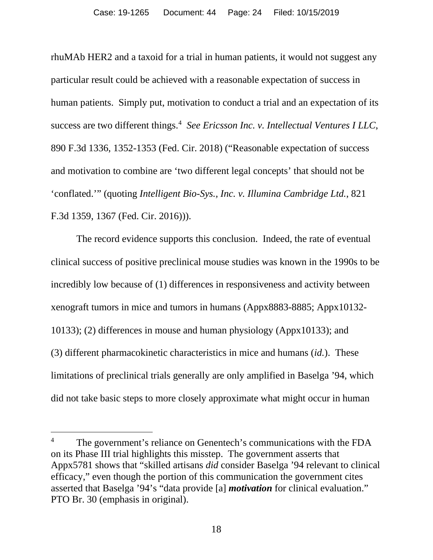rhuMAb HER2 and a taxoid for a trial in human patients, it would not suggest any particular result could be achieved with a reasonable expectation of success in human patients. Simply put, motivation to conduct a trial and an expectation of its success are two different things.<sup>4</sup> See Ericsson Inc. v. Intellectual Ventures I LLC, 890 F.3d 1336, 1352-1353 (Fed. Cir. 2018) ("Reasonable expectation of success and motivation to combine are 'two different legal concepts' that should not be 'conflated.'" (quoting *Intelligent Bio-Sys., Inc. v. Illumina Cambridge Ltd.*, 821 F.3d 1359, 1367 (Fed. Cir. 2016))).

The record evidence supports this conclusion. Indeed, the rate of eventual clinical success of positive preclinical mouse studies was known in the 1990s to be incredibly low because of (1) differences in responsiveness and activity between xenograft tumors in mice and tumors in humans (Appx8883-8885; Appx10132- 10133); (2) differences in mouse and human physiology (Appx10133); and (3) different pharmacokinetic characteristics in mice and humans (*id.*). These limitations of preclinical trials generally are only amplified in Baselga '94, which did not take basic steps to more closely approximate what might occur in human

<span id="page-23-0"></span><sup>&</sup>lt;sup>4</sup> The government's reliance on Genentech's communications with the FDA on its Phase III trial highlights this misstep. The government asserts that Appx5781 shows that "skilled artisans *did* consider Baselga '94 relevant to clinical efficacy," even though the portion of this communication the government cites asserted that Baselga '94's "data provide [a] *motivation* for clinical evaluation." PTO Br. 30 (emphasis in original).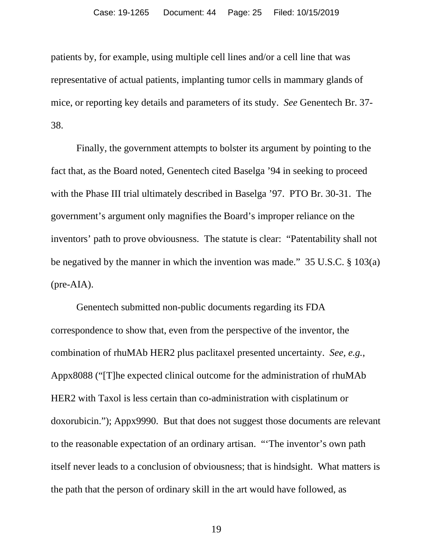patients by, for example, using multiple cell lines and/or a cell line that was representative of actual patients, implanting tumor cells in mammary glands of mice, or reporting key details and parameters of its study. *See* Genentech Br. 37- 38.

Finally, the government attempts to bolster its argument by pointing to the fact that, as the Board noted, Genentech cited Baselga '94 in seeking to proceed with the Phase III trial ultimately described in Baselga '97. PTO Br. 30-31. The government's argument only magnifies the Board's improper reliance on the inventors' path to prove obviousness. The statute is clear: "Patentability shall not be negatived by the manner in which the invention was made." 35 U.S.C. § 103(a) (pre-AIA).

Genentech submitted non-public documents regarding its FDA correspondence to show that, even from the perspective of the inventor, the combination of rhuMAb HER2 plus paclitaxel presented uncertainty. *See, e.g.*, Appx8088 ("[T]he expected clinical outcome for the administration of rhuMAb HER2 with Taxol is less certain than co-administration with cisplatinum or doxorubicin."); Appx9990. But that does not suggest those documents are relevant to the reasonable expectation of an ordinary artisan. "'The inventor's own path itself never leads to a conclusion of obviousness; that is hindsight. What matters is the path that the person of ordinary skill in the art would have followed, as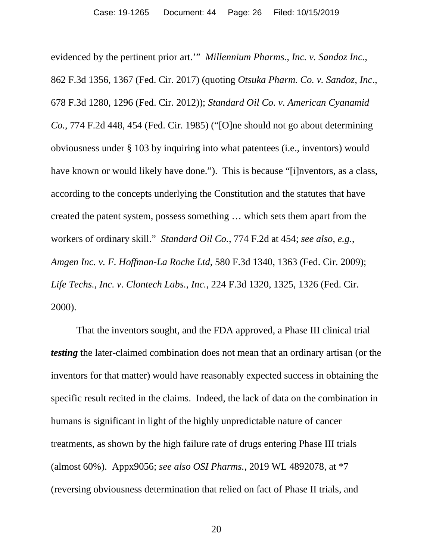evidenced by the pertinent prior art.'" *Millennium Pharms., Inc. v. Sandoz Inc.*, 862 F.3d 1356, 1367 (Fed. Cir. 2017) (quoting *Otsuka Pharm. Co. v. Sandoz*, *Inc*., 678 F.3d 1280, 1296 (Fed. Cir. 2012)); *Standard Oil Co. v. American Cyanamid Co.*, 774 F.2d 448, 454 (Fed. Cir. 1985) ("[O]ne should not go about determining obviousness under § 103 by inquiring into what patentees (i.e., inventors) would have known or would likely have done."). This is because "[i]nventors, as a class, according to the concepts underlying the Constitution and the statutes that have created the patent system, possess something … which sets them apart from the workers of ordinary skill." *Standard Oil Co.*, 774 F.2d at 454; *see also, e.g.*, *Amgen Inc. v. F. Hoffman-La Roche Ltd*, 580 F.3d 1340, 1363 (Fed. Cir. 2009); *Life Techs., Inc. v. Clontech Labs., Inc.*, 224 F.3d 1320, 1325, 1326 (Fed. Cir. 2000).

That the inventors sought, and the FDA approved, a Phase III clinical trial *testing* the later-claimed combination does not mean that an ordinary artisan (or the inventors for that matter) would have reasonably expected success in obtaining the specific result recited in the claims. Indeed, the lack of data on the combination in humans is significant in light of the highly unpredictable nature of cancer treatments, as shown by the high failure rate of drugs entering Phase III trials (almost 60%). Appx9056; *see also OSI Pharms.*, 2019 WL 4892078, at \*7 (reversing obviousness determination that relied on fact of Phase II trials, and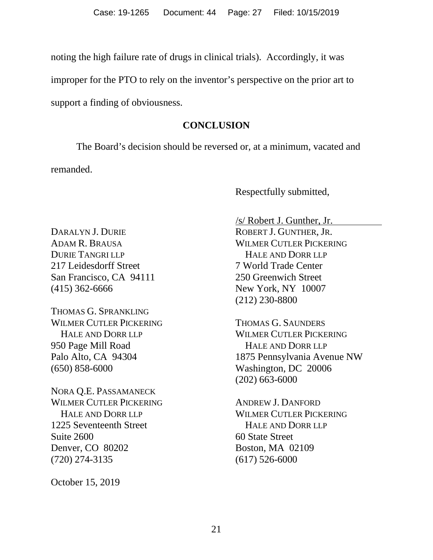noting the high failure rate of drugs in clinical trials). Accordingly, it was improper for the PTO to rely on the inventor's perspective on the prior art to support a finding of obviousness.

#### **CONCLUSION**

<span id="page-26-0"></span>The Board's decision should be reversed or, at a minimum, vacated and remanded.

Respectfully submitted,

DARALYN J. DURIE ADAM R. BRAUSA DURIE TANGRI LLP 217 Leidesdorff Street San Francisco, CA 94111 (415) 362-6666

THOMAS G. SPRANKLING WILMER CUTLER PICKERING HALE AND DORR LLP 950 Page Mill Road Palo Alto, CA 94304 (650) 858-6000

NORA Q.E. PASSAMANECK WILMER CUTLER PICKERING HALE AND DORR LLP 1225 Seventeenth Street Suite 2600 Denver, CO 80202 (720) 274-3135

October 15, 2019

/s/ Robert J. Gunther, Jr. ROBERT J. GUNTHER, JR. WILMER CUTLER PICKERING HALE AND DORR LLP 7 World Trade Center 250 Greenwich Street New York, NY 10007 (212) 230-8800

THOMAS G. SAUNDERS WILMER CUTLER PICKERING HALE AND DORR LLP 1875 Pennsylvania Avenue NW Washington, DC 20006 (202) 663-6000

ANDREW J. DANFORD WILMER CUTLER PICKERING HALE AND DORR LLP 60 State Street Boston, MA 02109 (617) 526-6000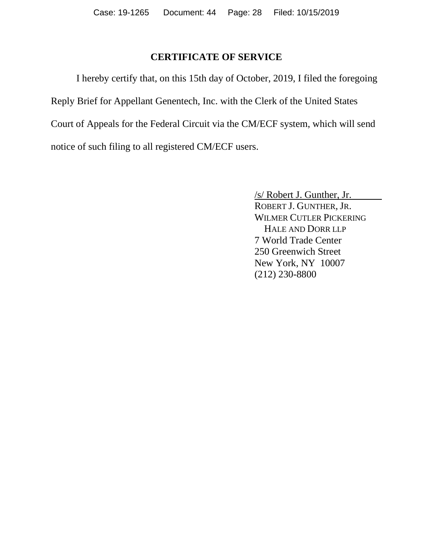#### **CERTIFICATE OF SERVICE**

I hereby certify that, on this 15th day of October, 2019, I filed the foregoing Reply Brief for Appellant Genentech, Inc. with the Clerk of the United States Court of Appeals for the Federal Circuit via the CM/ECF system, which will send notice of such filing to all registered CM/ECF users.

> /s/ Robert J. Gunther, Jr. ROBERT J. GUNTHER, JR. WILMER CUTLER PICKERING HALE AND DORR LLP 7 World Trade Center 250 Greenwich Street New York, NY 10007 (212) 230-8800